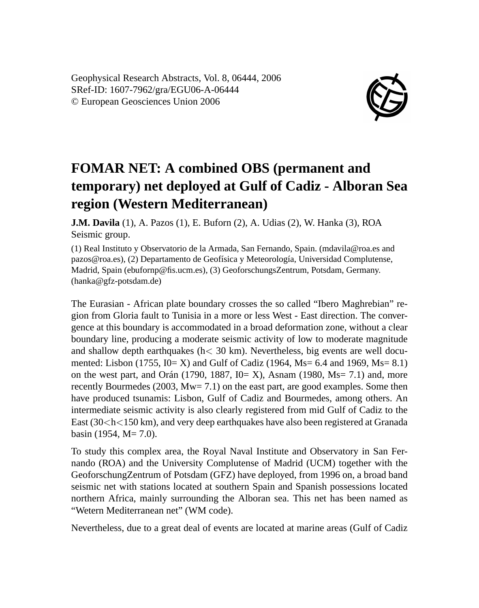Geophysical Research Abstracts, Vol. 8, 06444, 2006 SRef-ID: 1607-7962/gra/EGU06-A-06444 © European Geosciences Union 2006



## **FOMAR NET: A combined OBS (permanent and temporary) net deployed at Gulf of Cadiz - Alboran Sea region (Western Mediterranean)**

**J.M. Davila** (1), A. Pazos (1), E. Buforn (2), A. Udias (2), W. Hanka (3), ROA Seismic group.

(1) Real Instituto y Observatorio de la Armada, San Fernando, Spain. (mdavila@roa.es and pazos@roa.es), (2) Departamento de Geofísica y Meteorología, Universidad Complutense, Madrid, Spain (ebufornp@fis.ucm.es), (3) GeoforschungsZentrum, Potsdam, Germany. (hanka@gfz-potsdam.de)

The Eurasian - African plate boundary crosses the so called "Ibero Maghrebian" region from Gloria fault to Tunisia in a more or less West - East direction. The convergence at this boundary is accommodated in a broad deformation zone, without a clear boundary line, producing a moderate seismic activity of low to moderate magnitude and shallow depth earthquakes ( $h < 30 \text{ km}$ ). Nevertheless, big events are well documented: Lisbon (1755,  $I0 = X$ ) and Gulf of Cadiz (1964, Ms= 6.4 and 1969, Ms= 8.1) on the west part, and Orán (1790, 1887,  $I_0 = X$ ), Asnam (1980, Ms= 7.1) and, more recently Bourmedes (2003, Mw= 7.1) on the east part, are good examples. Some then have produced tsunamis: Lisbon, Gulf of Cadiz and Bourmedes, among others. An intermediate seismic activity is also clearly registered from mid Gulf of Cadiz to the East  $(30 < h < 150$  km), and very deep earthquakes have also been registered at Granada basin (1954,  $M = 7.0$ ).

To study this complex area, the Royal Naval Institute and Observatory in San Fernando (ROA) and the University Complutense of Madrid (UCM) together with the GeoforschungZentrum of Potsdam (GFZ) have deployed, from 1996 on, a broad band seismic net with stations located at southern Spain and Spanish possessions located northern Africa, mainly surrounding the Alboran sea. This net has been named as "Wetern Mediterranean net" (WM code).

Nevertheless, due to a great deal of events are located at marine areas (Gulf of Cadiz